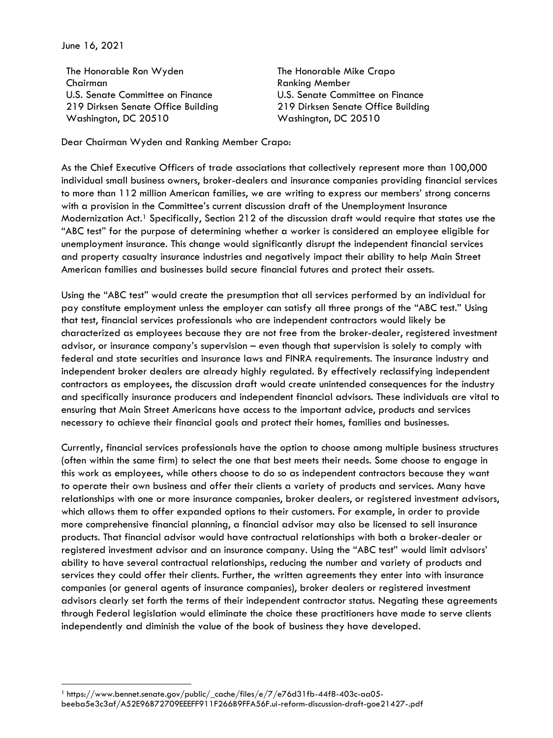June 16, 2021

The Honorable Ron Wyden Chairman U.S. Senate Committee on Finance 219 Dirksen Senate Office Building Washington, DC 20510

The Honorable Mike Crapo Ranking Member U.S. Senate Committee on Finance 219 Dirksen Senate Office Building Washington, DC 20510

Dear Chairman Wyden and Ranking Member Crapo:

As the Chief Executive Officers of trade associations that collectively represent more than 100,000 individual small business owners, broker-dealers and insurance companies providing financial services to more than 112 million American families, we are writing to express our members' strong concerns with a provision in the Committee's current discussion draft of the Unemployment Insurance Modernization Act.<sup>1</sup> Specifically, Section 212 of the discussion draft would require that states use the "ABC test" for the purpose of determining whether a worker is considered an employee eligible for unemployment insurance. This change would significantly disrupt the independent financial services and property casualty insurance industries and negatively impact their ability to help Main Street American families and businesses build secure financial futures and protect their assets.

Using the "ABC test" would create the presumption that all services performed by an individual for pay constitute employment unless the employer can satisfy all three prongs of the "ABC test." Using that test, financial services professionals who are independent contractors would likely be characterized as employees because they are not free from the broker-dealer, registered investment advisor, or insurance company's supervision – even though that supervision is solely to comply with federal and state securities and insurance laws and FINRA requirements. The insurance industry and independent broker dealers are already highly regulated. By effectively reclassifying independent contractors as employees, the discussion draft would create unintended consequences for the industry and specifically insurance producers and independent financial advisors. These individuals are vital to ensuring that Main Street Americans have access to the important advice, products and services necessary to achieve their financial goals and protect their homes, families and businesses.

Currently, financial services professionals have the option to choose among multiple business structures (often within the same firm) to select the one that best meets their needs. Some choose to engage in this work as employees, while others choose to do so as independent contractors because they want to operate their own business and offer their clients a variety of products and services. Many have relationships with one or more insurance companies, broker dealers, or registered investment advisors, which allows them to offer expanded options to their customers. For example, in order to provide more comprehensive financial planning, a financial advisor may also be licensed to sell insurance products. That financial advisor would have contractual relationships with both a broker-dealer or registered investment advisor and an insurance company. Using the "ABC test" would limit advisors' ability to have several contractual relationships, reducing the number and variety of products and services they could offer their clients. Further, the written agreements they enter into with insurance companies (or general agents of insurance companies), broker dealers or registered investment advisors clearly set forth the terms of their independent contractor status. Negating these agreements through Federal legislation would eliminate the choice these practitioners have made to serve clients independently and diminish the value of the book of business they have developed.

<sup>1</sup> https://www.bennet.senate.gov/public/\_cache/files/e/7/e76d31fb-44f8-403c-aa05 beeba5e3c3af/A52E96B72709EEEFF911F266B9FFA56F.ui-reform-discussion-draft-goe21427-.pdf